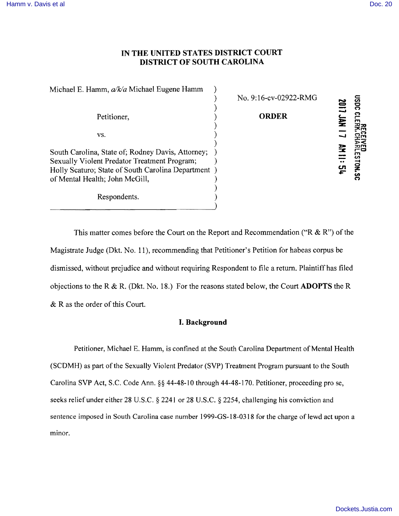## IN THE UNITED STATES DISTRICT COURT DISTRICT OF SOUTH CAROLINA

| Michael E. Hamm, a/k/a Michael Eugene Hamm                                                                                                                                                | No. 9:16-cv-02922-RMG |              |
|-------------------------------------------------------------------------------------------------------------------------------------------------------------------------------------------|-----------------------|--------------|
|                                                                                                                                                                                           |                       | ຮັ           |
| Petitioner,                                                                                                                                                                               | <b>ORDER</b>          |              |
| VS.                                                                                                                                                                                       |                       |              |
| South Carolina, State of; Rodney Davis, Attorney;<br>Sexually Violent Predator Treatment Program;<br>Holly Scaturo; State of South Carolina Department)<br>of Mental Health; John McGill, |                       | m<br>ပာ<br>ဌ |
| Respondents.                                                                                                                                                                              |                       |              |

This matter comes before the Court on the Report and Recommendation ("R  $\&$  R") of the Magistrate Judge (Dkt. No. 11), recommending that Petitioner's Petition for habeas corpus be dismissed, without prejudice and without requiring Respondent to file a return. Plaintiff has filed objections to the R & R. (Dkt. No. 18.) For the reasons stated below, the Court **ADOPTS** the R & R as the order of this Court.

## I. Background

Petitioner, Michael E. Hamm, is confined at the South Carolina Department of Mental Health (SCDMH) as part of the Sexually Violent Predator (SVP) Treatment Program pursuant to the South Carolina SVP Act, S.C. Code Ann. §§ 44-48-10 through 44-48-170. Petitioner, proceeding pro se, seeks relief under either 28 U.S.C. § 2241 or 28 U.S.C. § 2254, challenging his conviction and sentence imposed in South Carolina case number 1999-GS-18-0318 for the charge of lewd act upon a minor.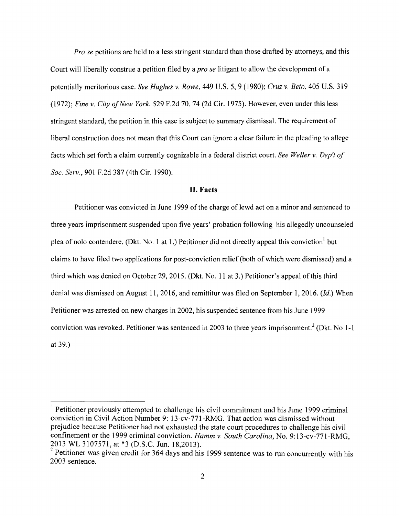*Pro se* petitions are held to a less stringent standard than those drafted by attorneys, and this Court will liberally construe a petition filed by a *pro se* litigant to allow the development of a potentially meritorious case. *See Hughes* v. *Rowe,* 449 U.S. 5, 9 (1980); *Cruz* v. *Beto,* 405 U.S. 319 *(1972); Fine* v. *City ofNew York,* 529 F.2d 70, 74 (2d Cir. 1975). However, even under this less stringent standard, the petition in this case is subject to summary dismissal. The requirement of liberal construction does not mean that this Court can ignore a clear failure in the pleading to allege facts which set forth a claim currently cognizable in a federal district court. *See Weller v. Dep't of Soc. Serv.,* 901 F.2d 387 (4th Cir. 1990).

#### **II.** Facts

Petitioner was convicted in June 1999 of the charge of lewd act on a minor and sentenced to three years imprisonment suspended upon five years' probation following his allegedly uncounseled plea of nolo contendere. (Dkt. No. 1 at 1.) Petitioner did not directly appeal this conviction but claims to have filed two applications for post-conviction relief (both of which were dismissed) and a third which was denied on October 29, 2015. (Dkt. No. 11 at 3.) Petitioner's appeal of this third denial was dismissed on August 11,2016, and remittitur was filed on September 1,2016. *(Id.)* When Petitioner was arrested on new charges in 2002, his suspended sentence from his June 1999 conviction was revoked. Petitioner was sentenced in 2003 to three years imprisonment.<sup>2</sup> (Dkt. No 1-1) at 39.)

 $<sup>1</sup>$  Petitioner previously attempted to challenge his civil commitment and his June 1999 criminal</sup> conviction in Civil Action Number 9: 13-cv-771-RMG. That action was dismissed without prejudice because Petitioner had not exhausted the state court procedures to challenge his civil confinement or the 1999 criminal conviction. *Hamm v. South Carolina*, No. 9:13-cv-771-RMG, 2013 WL 3107571, at \*3 (O.S.C. Jun. 18,2013).

 $2$  Petitioner was given credit for 364 days and his 1999 sentence was to run concurrently with his 2003 sentence.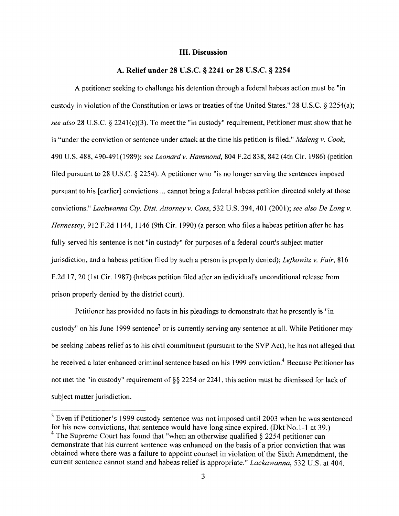#### **III. Discussion**

#### **A. Relief under 28 U.S.c. § 2241 or 28 U.S.c. § 2254**

A petitioner seeking to challenge his detention through a federal habeas action must be "in custody in violation of the Constitution or laws or treaties of the United States." 28 U.S.C. § 2254(a); *see also* 28 U.S.C. § 2241(c)(3). To meet the "in custody" requirement, Petitioner must show that he is "under the conviction or sentence under attack at the time his petition is filed." *Maleng* v. *Cook,*  490 U.S. 488, 490491(1989); *see Leonardv. Hammond,* 804 F.2d 838, 842 (4th Cir. 1986) (petition filed pursuant to 28 U.S.C. § 2254). A petitioner who "is no longer serving the sentences imposed pursuant to his [earlier] convictions ... cannot bring a federal habeas petition directed solely at those convictions." *Lackwanna Cly. Dist. Attorneyv. Coss,* 532 U.S. 394, 401 (2001); *see also De Longv. Hennessey,* 912 F.2d 1144, 1146 (9th Cir. 1990) (a person who files a habeas petition after he has fully served his sentence is not "in custody" for purposes of a federal court's subject matter jurisdiction, and a habeas petition filed by such a person is properly denied); *Lefkowitz* v. *Fair, 816*  F .2d 17, 20 (1 st Cir. 1987) (habeas petition filed after an individual's unconditional release from prison properly denied by the district court).

Petitioner has provided no facts in his pleadings to demonstrate that he presently is "in custody" on his June 1999 sentence<sup>3</sup> or is currently serving any sentence at all. While Petitioner may be seeking habeas relief as to his civil commitment (pursuant to the SVP Act), he has not alleged that he received a later enhanced criminal sentence based on his 1999 conviction.<sup>4</sup> Because Petitioner has not met the "in custody" requirement of §§ 2254 or 2241, this action must be dismissed for lack of subject matter jurisdiction.

<sup>&</sup>lt;sup>3</sup> Even if Petitioner's 1999 custody sentence was not imposed until 2003 when he was sentenced for his new convictions, that sentence would have long since expired. (Dkt No.1-1 at 39.) <sup>4</sup> The Supreme Court has found that "when an otherwise qualified  $\S$  2254 petitioner can demonstrate that his current sentence was enhanced on the basis of a prior conviction that was obtained where there was a failure to appoint counsel in violation of the Sixth Amendment, the current sentence cannot stand and habeas relief is appropriate." *Lackawanna,* 532 U.S. at 404.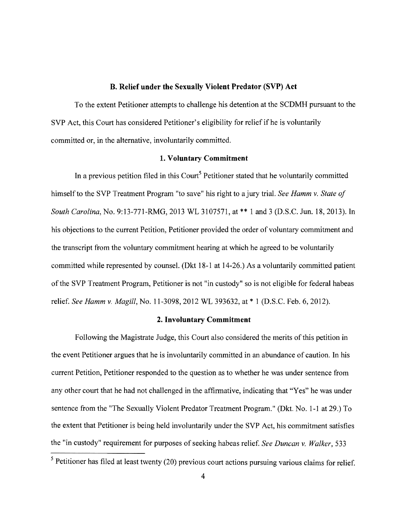#### **B. Relief under the Sexually Violent Predator (SVP) Act**

To the extent Petitioner attempts to challenge his detention at the SCDMH pursuant to the SVP Act, this Court has considered Petitioner's eligibility for relief if he is voluntarily committed or, in the alternative, involuntarily committed.

## **1. Voluntary Commitment**

In a previous petition filed in this Court<sup>5</sup> Petitioner stated that he voluntarily committed himself to the SVP Treatment Program "to save" his right to a jury trial. *See Hamm* v. *State of South Carolina*, *No.* 9:13-771-RMG, 2013 WL 3107571, at \*\* 1 and 3 (D.S.C. Jun. 18, 2013). In his objections to the current Petition, Petitioner provided the order of voluntary commitment and the transcript from the voluntary commitment hearing at which he agreed to be voluntarily committed while represented by counsel. (Dkt 18-1 at 14-26.) As a voluntarily committed patient ofthe SVP Treatment Program, Petitioner is not "in custody" so is not eligible for federal habeas relief. *See Hamm* v. *Magill,* No. 113098,2012 WL 393632, at \* 1 (D.S.C. Feb. 6,2012).

#### **2. Involuntary Commitment**

Following the Magistrate Judge, this Court also considered the merits of this petition in the event Petitioner argues that he is involuntarily committed in an abundance of caution. In his current Petition, Petitioner responded to the question as to whether he was under sentence from any other court that he had not challenged in the affirmative, indicating that "Yes" he was under sentence from the "The Sexually Violent Predator Treatment Program." (Dkt. No. 1-1 at 29.) To the extent that Petitioner is being held involuntarily under the SVP Act, his commitment satisfies the "in custody" requirement for purposes of seeking habeas relief. *See Duncan* v. *Walker, 533* 

 $<sup>5</sup>$  Petitioner has filed at least twenty (20) previous court actions pursuing various claims for relief.</sup>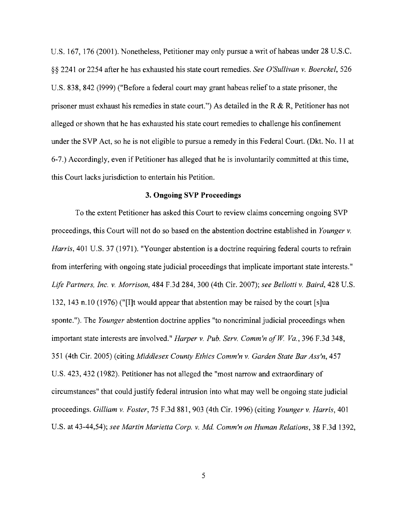U.S. 167, 176 (2001). Nonetheless, Petitioner may only pursue a writ of habeas under 28 U.S.C. §§ 2241 or 2254 after he has exhausted his state court remedies. *See O'Sullivan v. Boerckel, 526*  U.S. 838,842 (1999) ("Before a federal court may grant habeas relief to a state prisoner, the prisoner must exhaust his remedies in state court.") As detailed in the R & R, Petitioner has not alleged or shown that he has exhausted his state court remedies to challenge his confinement under the SVP Act, so he is not eligible to pursue a remedy in this Federal Court. (Dkt. No. 11 at 67.) Accordingly, even if Petitioner has alleged that he is involuntarily committed at this time, this Court lacks jurisdiction to entertain his Petition.

#### **3. Ongoing SVP Proceedings**

To the extent Petitioner has asked this Court to review claims concerning ongoing SVP proceedings, this Court will not do so based on the abstention doctrine established in *Younger v. Harris*, 401 U.S. 37 (1971). "Younger abstention is a doctrine requiring federal courts to refrain from interfering with ongoing state judicial proceedings that implicate important state interests." *Life Partners, Inc. v. Morrison,* 484 F.3d 284,300 (4th Cir. 2007); *see Bellotti v. Baird,* 428 U.S. 132, 143 n.lO (1976) ("[I]t would appear that abstention may be raised by the court [s]ua sponte."). The *Younger* abstention doctrine applies "to noncriminal judicial proceedings when important state interests are involved." *Harper v. Pub. Serv. Comm'n of W. Va.*, 396 F.3d 348, 351 (4th Cir. 2005) (citing *Middlesex County Ethics Comm'n v. Garden State Bar Ass'n, 457*  U.S. 423,432 (1982). Petitioner has not alleged the "most narrow and extraordinary of circumstances" that could justify federal intrusion into what may well be ongoing state judicial proceedings. *Gilliam* V. *Foster,* 75 F.3d 881, 903 (4th Cir. 1996) (citing *Younger v. Harris, 401*  U.S. at 43-44,54); see Martin Marietta Corp. v. Md. Comm'n on Human Relations, 38 F.3d 1392,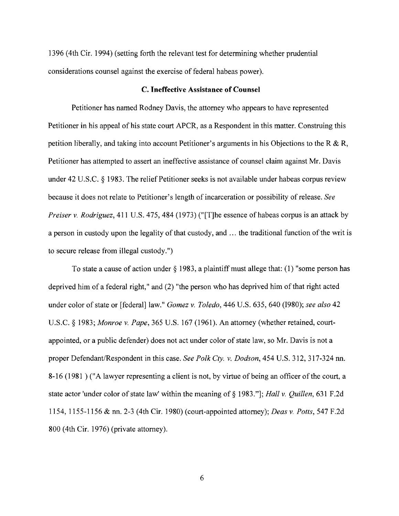1396 (4th Cir. 1994) (setting forth the relevant test for detennining whether prudential considerations counsel against the exercise of federal habeas power).

### **C. Ineffective Assistance of Counsel**

Petitioner has named Rodney Davis, the attorney who appears to have represented Petitioner in his appeal of his state court APCR, as a Respondent in this matter. Construing this petition liberally, and taking into account Petitioner's arguments in his Objections to the R  $\&$  R, Petitioner has attempted to assert an ineffective assistance of counsel claim against Mr. Davis under 42 U.S.C. § 1983. The relief Petitioner seeks is not available under habeas corpus review because it does not relate to Petitioner's length of incarceration or possibility of release. *See Preiser* v. *Rodriguez,* 411 U.S. 475, 484 (1973) ("[T]he essence of habeas corpus is an attack by a person in custody upon the legality of that custody, and ... the traditional function of the writ is to secure release from illegal custody.")

To state a cause of action under  $\S$  1983, a plaintiff must allege that: (1) "some person has deprived him of a federal right," and (2) "the person who has deprived him of that right acted under color of state or [federal] law." *Gomez* v. *Toledo,* 446 U.S. 635, 640 (1980); *see also 42*  U.S.c. § 1983; *Monroe* v. *Pape,* 365 U.S. 167 (1961). An attorney (whether retained, courtappointed, or a public defender) does not act under color of state law, so Mr. Davis is not a proper Defendant/Respondent in this case. *See Polk Cty.* v. *Dodson,* 454 U.S. 312,317324 nn. 8-16 (1981) ("A lawyer representing a client is not, by virtue of being an officer of the court, a state actor 'under color of state law' within the meaning of § 1983."]; *Hall* v. *Quillen,* 631 F.2d 1154,11551156 & nn. 23 (4th Cir. 1980) (courtappointed attorney); *Deas* v. *Potts,* 547 F.2d 800 (4th Cir. 1976) (private attorney).